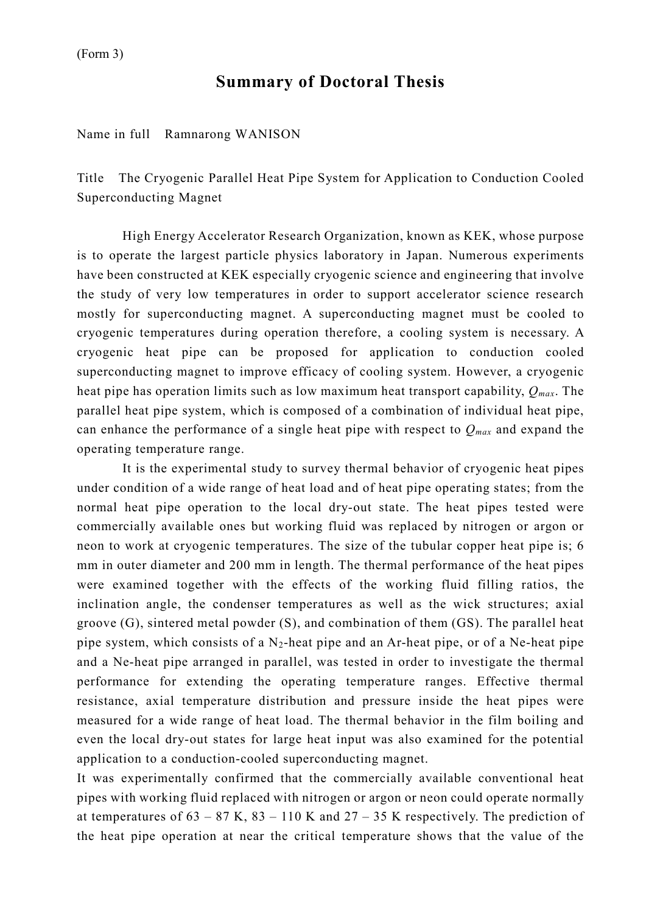## **Summary of Doctoral Thesis**

Name in full Ramnarong WANISON

Title The Cryogenic Parallel Heat Pipe System for Application to Conduction Cooled Superconducting Magnet

High Energy Accelerator Research Organization, known as KEK, whose purpose is to operate the largest particle physics laboratory in Japan. Numerous experiments have been constructed at KEK especially cryogenic science and engineering that involve the study of very low temperatures in order to support accelerator science research mostly for superconducting magnet. A superconducting magnet must be cooled to cryogenic temperatures during operation therefore, a cooling system is necessary. A cryogenic heat pipe can be proposed for application to conduction cooled superconducting magnet to improve efficacy of cooling system. However, a cryogenic heat pipe has operation limits such as low maximum heat transport capability, *Qmax*. The parallel heat pipe system, which is composed of a combination of individual heat pipe, can enhance the performance of a single heat pipe with respect to *Qmax* and expand the operating temperature range.

It is the experimental study to survey thermal behavior of cryogenic heat pipes under condition of a wide range of heat load and of heat pipe operating states; from the normal heat pipe operation to the local dry-out state. The heat pipes tested were commercially available ones but working fluid was replaced by nitrogen or argon or neon to work at cryogenic temperatures. The size of the tubular copper heat pipe is; 6 mm in outer diameter and 200 mm in length. The thermal performance of the heat pipes were examined together with the effects of the working fluid filling ratios, the inclination angle, the condenser temperatures as well as the wick structures; axial groove (G), sintered metal powder (S), and combination of them (GS). The parallel heat pipe system, which consists of a  $N_2$ -heat pipe and an Ar-heat pipe, or of a Ne-heat pipe and a Ne-heat pipe arranged in parallel, was tested in order to investigate the thermal performance for extending the operating temperature ranges. Effective thermal resistance, axial temperature distribution and pressure inside the heat pipes were measured for a wide range of heat load. The thermal behavior in the film boiling and even the local dry-out states for large heat input was also examined for the potential application to a conduction-cooled superconducting magnet.

It was experimentally confirmed that the commercially available conventional heat pipes with working fluid replaced with nitrogen or argon or neon could operate normally at temperatures of  $63 - 87$  K,  $83 - 110$  K and  $27 - 35$  K respectively. The prediction of the heat pipe operation at near the critical temperature shows that the value of the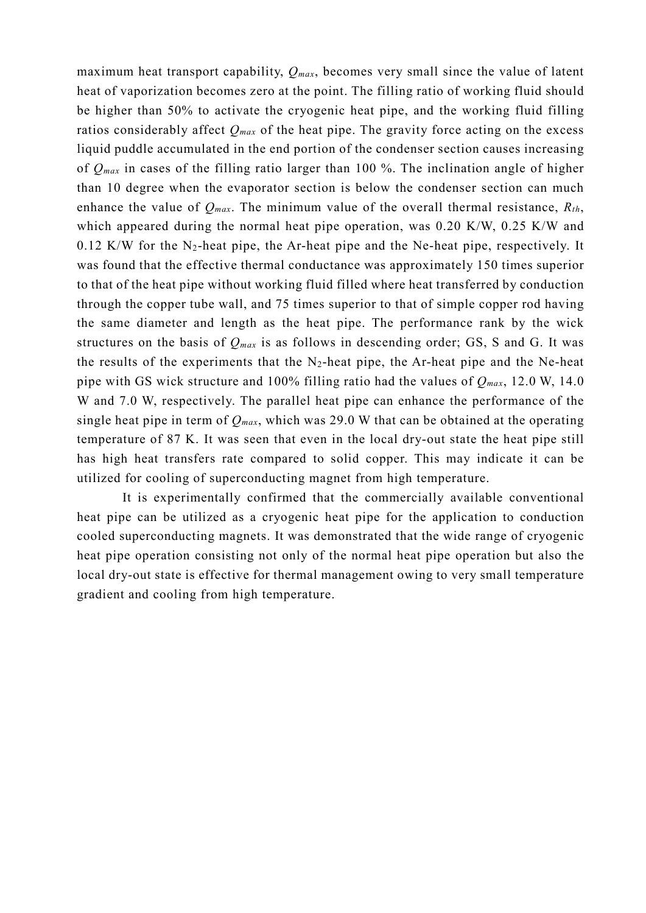maximum heat transport capability, *Qmax*, becomes very small since the value of latent heat of vaporization becomes zero at the point. The filling ratio of working fluid should be higher than 50% to activate the cryogenic heat pipe, and the working fluid filling ratios considerably affect  $Q_{max}$  of the heat pipe. The gravity force acting on the excess liquid puddle accumulated in the end portion of the condenser section causes increasing of *Qmax* in cases of the filling ratio larger than 100 %. The inclination angle of higher than 10 degree when the evaporator section is below the condenser section can much enhance the value of  $Q_{max}$ . The minimum value of the overall thermal resistance,  $R_{th}$ , which appeared during the normal heat pipe operation, was 0.20 K/W, 0.25 K/W and  $0.12$  K/W for the N<sub>2</sub>-heat pipe, the Ar-heat pipe and the Ne-heat pipe, respectively. It was found that the effective thermal conductance was approximately 150 times superior to that of the heat pipe without working fluid filled where heat transferred by conduction through the copper tube wall, and 75 times superior to that of simple copper rod having the same diameter and length as the heat pipe. The performance rank by the wick structures on the basis of  $Q_{max}$  is as follows in descending order; GS, S and G. It was the results of the experiments that the  $N_2$ -heat pipe, the Ar-heat pipe and the Ne-heat pipe with GS wick structure and 100% filling ratio had the values of *Qmax*, 12.0 W, 14.0 W and 7.0 W, respectively. The parallel heat pipe can enhance the performance of the single heat pipe in term of *Qmax*, which was 29.0 W that can be obtained at the operating temperature of 87 K. It was seen that even in the local dry-out state the heat pipe still has high heat transfers rate compared to solid copper. This may indicate it can be utilized for cooling of superconducting magnet from high temperature.

It is experimentally confirmed that the commercially available conventional heat pipe can be utilized as a cryogenic heat pipe for the application to conduction cooled superconducting magnets. It was demonstrated that the wide range of cryogenic heat pipe operation consisting not only of the normal heat pipe operation but also the local dry-out state is effective for thermal management owing to very small temperature gradient and cooling from high temperature.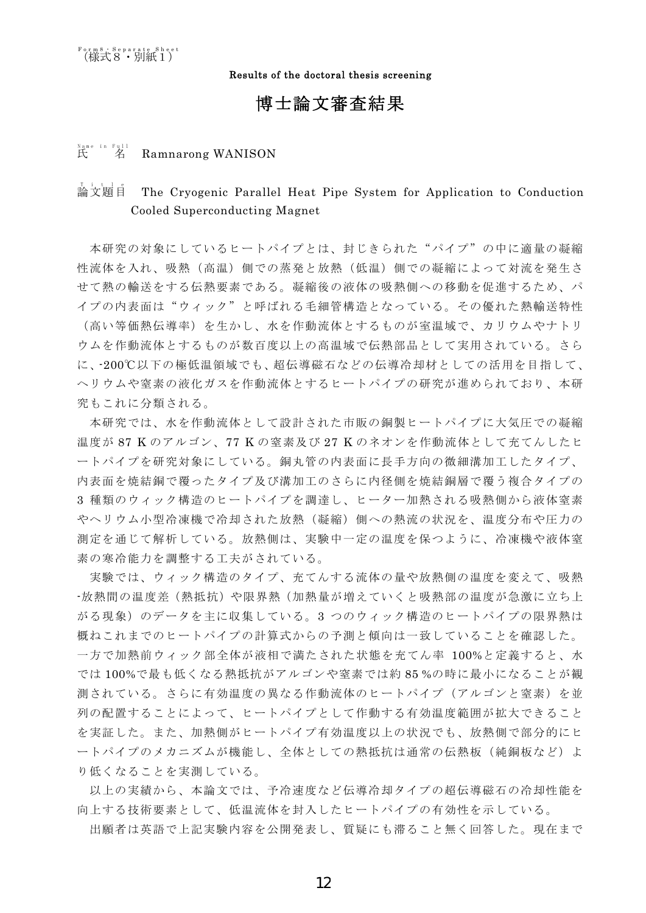Results of the doctoral thesis screening

## 博士論文審査結果

## <sub>Name</sub> in Full<br>氏 名 Ramnarong WANISON

## -<br>論文題自 The Cryogenic Parallel Heat Pipe System for Application to Conduction Cooled Superconducting Magnet

本研究の対象にしているヒートパイプとは、封じきられた"パイプ"の中に適量の凝縮 性流体を入れ、吸熱(高温)側での蒸発と放熱(低温)側での凝縮によって対流を発生さ せて熱の輸送をする伝熱要素である。凝縮後の液体の吸熱側への移動を促進するため、パ イプの内表面は"ウィック"と呼ばれる毛細管構造となっている。その優れた熱輸送特性 (高い等価熱伝導率)を生かし、水を作動流体とするものが室温域で、カリウムやナトリ ウムを作動流体とするものが数百度以上の高温域で伝熱部品として実用されている。さら に、-200℃以下の極低温領域でも、超伝導磁石などの伝導冷却材としての活用を目指して、 ヘリウムや窒素の液化ガスを作動流体とするヒートパイプの研究が進められており、本研 究もこれに分類される。

本研究では、水を作動流体として設計された市販の銅製ヒートパイプに大気圧での凝縮 温度が 87 K のアルゴン、77 K の窒素及び 27 K のネオンを作動流体として充てんしたヒ ートパイプを研究対象にしている。銅丸管の内表面に長手方向の微細溝加工したタイプ、 内表面を焼結銅で覆ったタイプ及び溝加工のさらに内径側を焼結銅層で覆う複合タイプの 3 種類のウィック構造のヒートパイプを調達し、ヒーター加熱される吸熱側から液体窒素 やヘリウム小型冷凍機で冷却された放熱(凝縮)側への熱流の状況を、温度分布や圧力の 測定を通じて解析している。放熱側は、実験中一定の温度を保つように、冷凍機や液体窒 素の寒冷能力を調整する工夫がされている。

実験では、ウィック構造のタイプ、充てんする流体の量や放熱側の温度を変えて、吸熱 -放熱間の温度差(熱抵抗)や限界熱(加熱量が増えていくと吸熱部の温度が急激に立ち上 がる現象)のデータを主に収集している。3 つのウィック構造のヒートパイプの限界熱は 概ねこれまでのヒートパイプの計算式からの予測と傾向は一致していることを確認した。 一方で加熱前ウィック部全体が液相で満たされた状態を充てん率 100%と定義すると、水 では 100%で最も低くなる熱抵抗がアルゴンや窒素では約 85 %の時に最小になることが観 測されている。さらに有効温度の異なる作動流体のヒートパイプ(アルゴンと窒素)を並 列の配置することによって、ヒートパイプとして作動する有効温度範囲が拡大できること を実証した。また、加熱側がヒートパイプ有効温度以上の状況でも、放熱側で部分的にヒ ートパイプのメカニズムが機能し、全体としての熱抵抗は通常の伝熱板(純銅板など)よ り低くなることを実測している。

以上の実績から、本論文では、予冷速度など伝導冷却タイプの超伝導磁石の冷却性能を 向上する技術要素として、低温流体を封入したヒートパイプの有効性を示している。

出願者は英語で上記実験内容を公開発表し、質疑にも滞ること無く回答した。現在まで